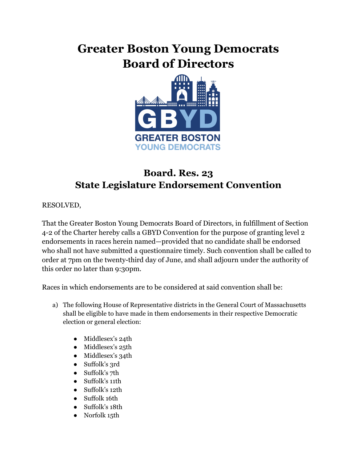## **Greater Boston Young Democrats Board of Directors**



## **Board. Res. 23 State Legislature Endorsement Convention**

RESOLVED,

That the Greater Boston Young Democrats Board of Directors, in fulfillment of Section 4-2 of the Charter hereby calls a GBYD Convention for the purpose of granting level 2 endorsements in races herein named—provided that no candidate shall be endorsed who shall not have submitted a questionnaire timely. Such convention shall be called to order at 7pm on the twenty-third day of June, and shall adjourn under the authority of this order no later than 9:30pm.

Races in which endorsements are to be considered at said convention shall be:

- a) The following House of Representative districts in the General Court of Massachusetts shall be eligible to have made in them endorsements in their respective Democratic election or general election:
	- Middlesex's 24th
	- Middlesex's 25th
	- Middlesex's 34th
	- Suffolk's 3rd
	- Suffolk's 7th
	- Suffolk's 11th
	- Suffolk's 12th
	- Suffolk 16th
	- Suffolk's 18th
	- Norfolk 15th